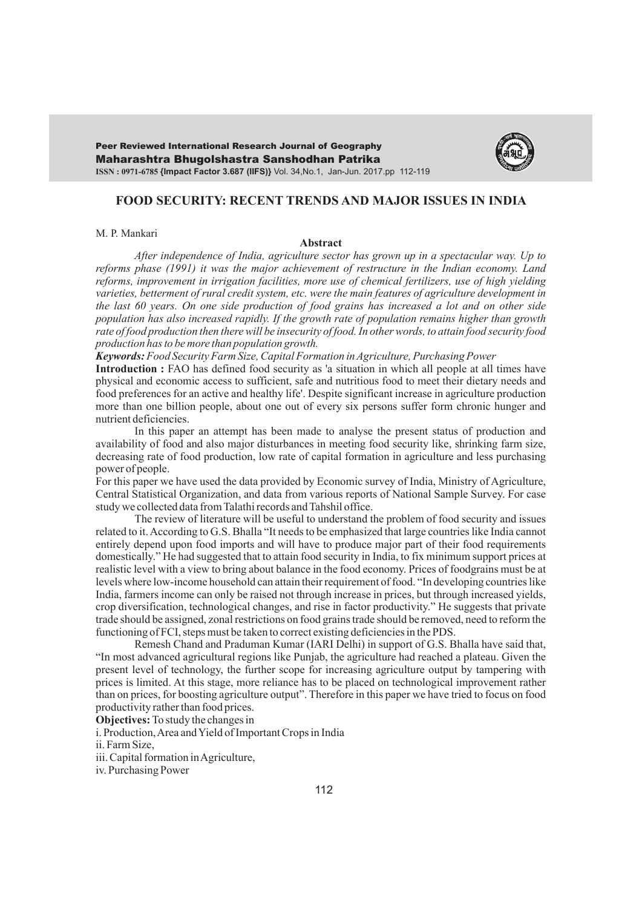Maharashtra Bhugolshastra Sanshodhan Patrika Peer Reviewed International Research Journal of Geography **ISSN : 0971-6785 {Impact Factor 3.687 (IIFS)}** Vol. 34,No.1, Jan-Jun. 2017.pp 112-119



# **FOOD SECURITY: RECENT TRENDS AND MAJOR ISSUES IN INDIA**

### M. P. Mankari

## **Abstract**

*After independence of India, agriculture sector has grown up in a spectacular way. Up to reforms phase (1991) it was the major achievement of restructure in the Indian economy. Land reforms, improvement in irrigation facilities, more use of chemical fertilizers, use of high yielding varieties, betterment of rural credit system, etc. were the main features of agriculture development in the last 60 years. On one side production of food grains has increased a lot and on other side population has also increased rapidly. If the growth rate of population remains higher than growth rate of food production then there will be insecurity of food. In other words, to attain food security food production has to be more than population growth.* 

*Keywords:Food Security Farm Size, Capital Formation in Agriculture, Purchasing Power*

**Introduction :** FAO has defined food security as 'a situation in which all people at all times have physical and economic access to sufficient, safe and nutritious food to meet their dietary needs and food preferences for an active and healthy life'. Despite significant increase in agriculture production more than one billion people, about one out of every six persons suffer form chronic hunger and nutrient deficiencies.

In this paper an attempt has been made to analyse the present status of production and availability of food and also major disturbances in meeting food security like, shrinking farm size, decreasing rate of food production, low rate of capital formation in agriculture and less purchasing power of people.

For this paper we have used the data provided by Economic survey of India, Ministry of Agriculture, Central Statistical Organization, and data from various reports of National Sample Survey. For case study we collected data from Talathi records and Tahshil office.

The review of literature will be useful to understand the problem of food security and issues related to it. According to G.S. Bhalla "It needs to be emphasized that large countries like India cannot entirely depend upon food imports and will have to produce major part of their food requirements domestically." He had suggested that to attain food security in India, to fix minimum support prices at realistic level with a view to bring about balance in the food economy. Prices of foodgrains must be at levels where low-income household can attain their requirement of food. "In developing countries like India, farmers income can only be raised not through increase in prices, but through increased yields, crop diversification, technological changes, and rise in factor productivity." He suggests that private trade should be assigned, zonal restrictions on food grains trade should be removed, need to reform the functioning of FCI, steps must be taken to correct existing deficiencies in the PDS.

Remesh Chand and Praduman Kumar (IARI Delhi) in support of G.S. Bhalla have said that, "In most advanced agricultural regions like Punjab, the agriculture had reached a plateau. Given the present level of technology, the further scope for increasing agriculture output by tampering with prices is limited. At this stage, more reliance has to be placed on technological improvement rather than on prices, for boosting agriculture output". Therefore in this paper we have tried to focus on food productivity rather than food prices.

**Objectives:** To study the changes in

i. Production, Area and Yield of Important Crops in India

ii. Farm Size,

iii. Capital formation in Agriculture,

iv. Purchasing Power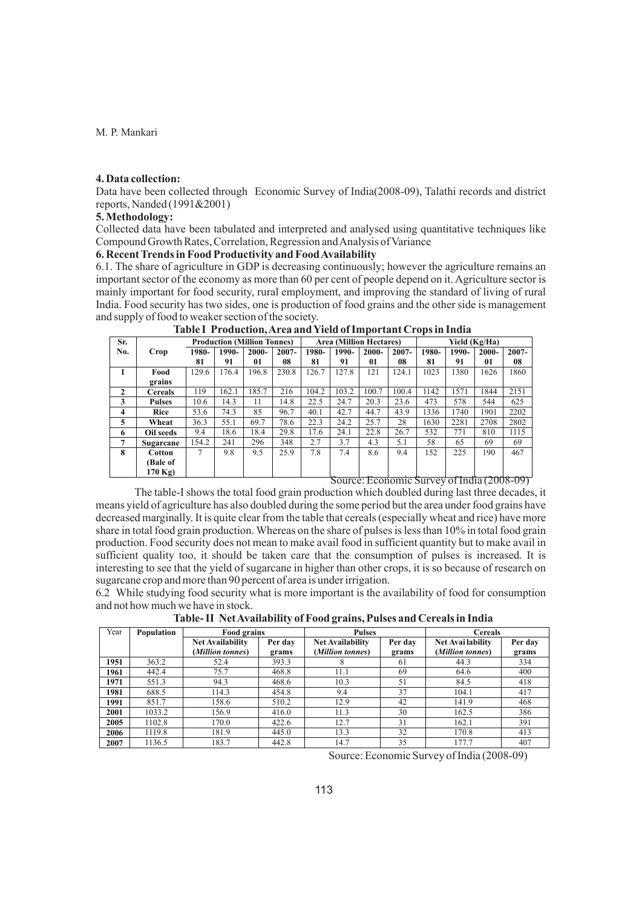## **4. Data collection:**

Data have been collected through Economic Survey of India(2008-09), Talathi records and district reports, Nanded (1991&2001)

# **5. Methodology:**

Collected data have been tabulated and interpreted and analysed using quantitative techniques like Compound Growth Rates, Correlation, Regression and Analysis of Variance

# **6. Recent Trends in Food Productivity and Food Availability**

6.1. The share of agriculture in GDP is decreasing continuously; however the agriculture remains an important sector of the economy as more than 60 per cent of people depend on it. Agriculture sector is mainly important for food security, rural employment, and improving the standard of living of rural India. Food security has two sides, one is production of food grains and the other side is management and supply of food to weaker section of the society.

|                         | Tuote Trouwelongin en min Tien of Hilpot min Oropo in Hinni |       |       |                                    |          |       |       |                                |       |               |       |       |          |
|-------------------------|-------------------------------------------------------------|-------|-------|------------------------------------|----------|-------|-------|--------------------------------|-------|---------------|-------|-------|----------|
| Sr.                     |                                                             |       |       | <b>Production (Million Tonnes)</b> |          |       |       | <b>Area (Million Hectares)</b> |       | Yield (Kg/Ha) |       |       |          |
| No.                     | Crop                                                        | 1980- | 1990- | $2000 -$                           | $2007 -$ | 1980- | 1990- | $2000 -$                       | 2007- | 1980-         | 1990- | 2000- | $2007 -$ |
|                         |                                                             | 81    | 91    | 01                                 | 08       | 81    | 91    | 01                             | 08    | 81            | 91    | 01    | 08       |
| 1                       | Food                                                        | 129.6 | 176.4 | 196.8                              | 230.8    | 126.7 | 127.8 | 121                            | 124.1 | 1023          | 1380  | 1626  | 1860     |
|                         | grains                                                      |       |       |                                    |          |       |       |                                |       |               |       |       |          |
| $\mathbf{2}$            | <b>Cereals</b>                                              | 119   | 162.1 | 185.7                              | 216      | 104.2 | 103.2 | 100.7                          | 100.4 | 1142          | 1571  | 1844  | 2151     |
| 3                       | <b>Pulses</b>                                               | 10.6  | 14.3  | 11                                 | 14.8     | 22.5  | 24.7  | 20.3                           | 23.6  | 473           | 578   | 544   | 625      |
| $\overline{\mathbf{4}}$ | Rice                                                        | 53.6  | 74.3  | 85                                 | 96.7     | 40.1  | 42.7  | 44.7                           | 43.9  | 1336          | 1740  | 1901  | 2202     |
| 5                       | Wheat                                                       | 36.3  | 55.1  | 69.7                               | 78.6     | 22.3  | 24.2  | 25.7                           | 28    | 1630          | 2281  | 2708  | 2802     |
| 6                       | Oil seeds                                                   | 9.4   | 18.6  | 18.4                               | 29.8     | 17.6  | 24.1  | 22.8                           | 26.7  | 532           | 771   | 810   | 1115     |
| 7                       | Sugarcane                                                   | 154.2 | 241   | 296                                | 348      | 2.7   | 3.7   | 4.3                            | 5.1   | 58            | 65    | 69    | 69       |
| 8                       | Cotton                                                      | 7     | 9.8   | 9.5                                | 25.9     | 7.8   | 7.4   | 8.6                            | 9.4   | 152           | 225   | 190   | 467      |
|                         | (Bale of                                                    |       |       |                                    |          |       |       |                                |       |               |       |       |          |
|                         | $170$ Kg)                                                   |       |       |                                    |          |       |       |                                |       |               |       |       |          |

**Table I Production, Area and Yield of Important Crops in India**

Source: Economic Survey of India (2008-09)

The table-I shows the total food grain production which doubled during last three decades, it means yield of agriculture has also doubled during the some period but the area under food grains have decreased marginally. It is quite clear from the table that cereals (especially wheat and rice) have more share in total food grain production. Whereas on the share of pulses is less than 10% in total food grain production. Food security does not mean to make avail food in sufficient quantity but to make avail in sufficient quality too, it should be taken care that the consumption of pulses is increased. It is interesting to see that the yield of sugarcane in higher than other crops, it is so because of research on sugarcane crop and more than 90 percent of area is under irrigation.

6.2 While studying food security what is more important is the availability of food for consumption and not how much we have in stock.

| Year | <b>Population</b> | Food grains             |         | <b>Pulses</b>           |         | <b>Cereals</b>    |         |  |
|------|-------------------|-------------------------|---------|-------------------------|---------|-------------------|---------|--|
|      |                   | <b>Net Availability</b> | Per day | <b>Net Availability</b> | Per day | Net Avai lability | Per day |  |
|      |                   | (Million tonnes)        | grams   | (Million tonnes)        | grams   | (Million tonnes)  | grams   |  |
| 1951 | 363.2             | 52.4                    | 393.3   | x                       | 61      | 44.3              | 334     |  |
| 1961 | 442.4             | 75.7                    | 468.8   | 11.1                    | 69      | 64.6              | 400     |  |
| 1971 | 551.3             | 94.3                    | 468.6   | 10.3                    | 51      | 84.5              | 418     |  |
| 1981 | 688.5             | 114.3                   | 454.8   | 9.4                     | 37      | 104.1             | 417     |  |
| 1991 | 851.7             | 158.6                   | 510.2   | 12.9                    | 42      | 141.9             | 468     |  |
| 2001 | 1033.2            | 156.9                   | 416.0   | 11.3                    | 30      | 162.5             | 386     |  |
| 2005 | 1102.8            | 170.0                   | 422.6   | 12.7                    | 31      | 162.1             | 391     |  |
| 2006 | 1119.8            | 181.9                   | 445.0   | 13.3                    | 32      | 170.8             | 413     |  |
| 2007 | 1136.5            | 183.7                   | 442.8   | 14.7                    | 35      | 177.7             | 407     |  |

**Table- II Net Availability of Food grains, Pulses and Cereals in India** 

Source: Economic Survey of India (2008-09)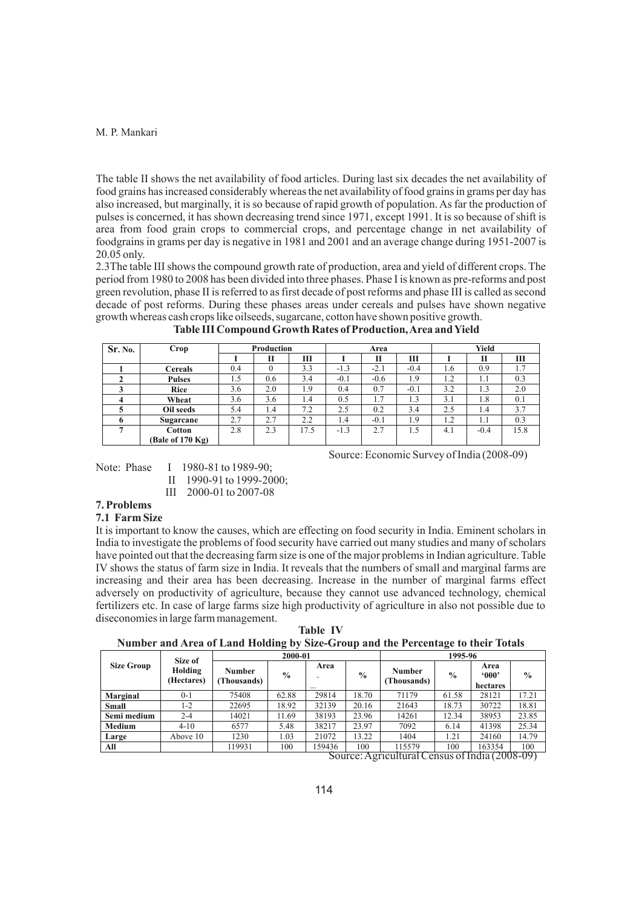The table II shows the net availability of food articles. During last six decades the net availability of food grains has increased considerably whereas the net availability of food grains in grams per day has also increased, but marginally, it is so because of rapid growth of population. As far the production of pulses is concerned, it has shown decreasing trend since 1971, except 1991. It is so because of shift is area from food grain crops to commercial crops, and percentage change in net availability of foodgrains in grams per day is negative in 1981 and 2001 and an average change during 1951-2007 is 20.05 only.

2.3The table III shows the compound growth rate of production, area and yield of different crops. The period from 1980 to 2008 has been divided into three phases. Phase I is known as pre-reforms and post green revolution, phase II is referred to as first decade of post reforms and phase III is called as second decade of post reforms. During these phases areas under cereals and pulses have shown negative growth whereas cash crops like oilseeds, sugarcane, cotton have shown positive growth.

| Sr. No. | Crop             | Production |     |      | Area   |        |        | Yield |        |      |
|---------|------------------|------------|-----|------|--------|--------|--------|-------|--------|------|
|         |                  |            | П   | Ш    |        | П      | Ш      |       | П      | Ш    |
|         | <b>Cereals</b>   | 0.4        |     | 3.3  | $-1.3$ | $-2.1$ | $-0.4$ | 1.6   | 0.9    | 1.7  |
|         | <b>Pulses</b>    | 1.5        | 0.6 | 3.4  | $-0.1$ | $-0.6$ | 1.9    | 1.2   | 1.1    | 0.3  |
|         | Rice             | 3.6        | 2.0 | 1.9  | 0.4    | 0.7    | $-0.1$ | 3.2   | 1.3    | 2.0  |
|         | Wheat            | 3.6        | 3.6 | 1.4  | 0.5    | 1.7    | 1.3    | 3.1   | 1.8    | 0.1  |
|         | Oil seeds        | 5.4        | 1.4 | 7.2  | 2.5    | 0.2    | 3.4    | 2.5   | 1.4    | 3.7  |
|         | Sugarcane        | 2.7        | 2.7 | 2.2  | 1.4    | $-0.1$ | 1.9    | 1.2   | 1.1    | 0.3  |
|         | <b>Cotton</b>    | 2.8        | 2.3 | 17.5 | $-1.3$ | 2.7    | 1.5    | 4.1   | $-0.4$ | 15.8 |
|         | (Bale of 170 Kg) |            |     |      |        |        |        |       |        |      |

**Table III Compound Growth Rates of Production, Area and Yield**

Note: Phase I 1980-81 to 1989-90; II 1990-91 to 1999-2000;

III 2000-01 to 2007-08

# **7. Problems**

## **7.1 Farm Size**

It is important to know the causes, which are effecting on food security in India. Eminent scholars in India to investigate the problems of food security have carried out many studies and many of scholars have pointed out that the decreasing farm size is one of the major problems in Indian agriculture. Table IV shows the status of farm size in India. It reveals that the numbers of small and marginal farms are increasing and their area has been decreasing. Increase in the number of marginal farms effect adversely on productivity of agriculture, because they cannot use advanced technology, chemical fertilizers etc. In case of large farms size high productivity of agriculture in also not possible due to diseconomies in large farm management.

**Table IV Number and Area of Land Holding by Size-Group and the Percentage to their Totals**

|                   | Size of               |                       | 2000-01       |                |               | 1995-96                                   |                     |                            |               |  |
|-------------------|-----------------------|-----------------------|---------------|----------------|---------------|-------------------------------------------|---------------------|----------------------------|---------------|--|
| <b>Size Group</b> | Holding<br>(Hectares) | Number<br>(Thousands) | $\frac{6}{6}$ | Area<br>$\sim$ | $\frac{6}{9}$ | Number<br>(Thousands)                     | $\frac{6}{9}$       | Area<br>000<br>hectares    | $\frac{0}{0}$ |  |
| Marginal          | $0 - 1$               | 75408                 | 62.88         | 29814          | 18.70         | 71179                                     | 61.58               | 28121                      | 17.21         |  |
| <b>Small</b>      | 1-2                   | 22695                 | 18.92         | 32139          | 20.16         | 21643                                     | 18.73               | 30722                      | 18.81         |  |
| Semi medium       | $2 - 4$               | 14021                 | 11.69         | 38193          | 23.96         | 14261                                     | 12.34               | 38953                      | 23.85         |  |
| Medium            | $4 - 10$              | 6577                  | 5.48          | 38217          | 23.97         | 7092                                      | 6.14                | 41398                      | 25.34         |  |
| Large             | Above 10              | 1230                  | 1.03          | 21072          | 13.22         | 1404                                      | 1.21                | 24160                      | 14.79         |  |
| All               |                       | 119931                | 100           | 159436         | 100           | 115579<br>$\overline{11}$ $\overline{17}$ | 100<br>$\mathbf{r}$ | 163354<br>$\sim$ (2000 00) | 100           |  |

Source: Agricultural Census of India (2008-09)

Source: Economic Survey of India (2008-09)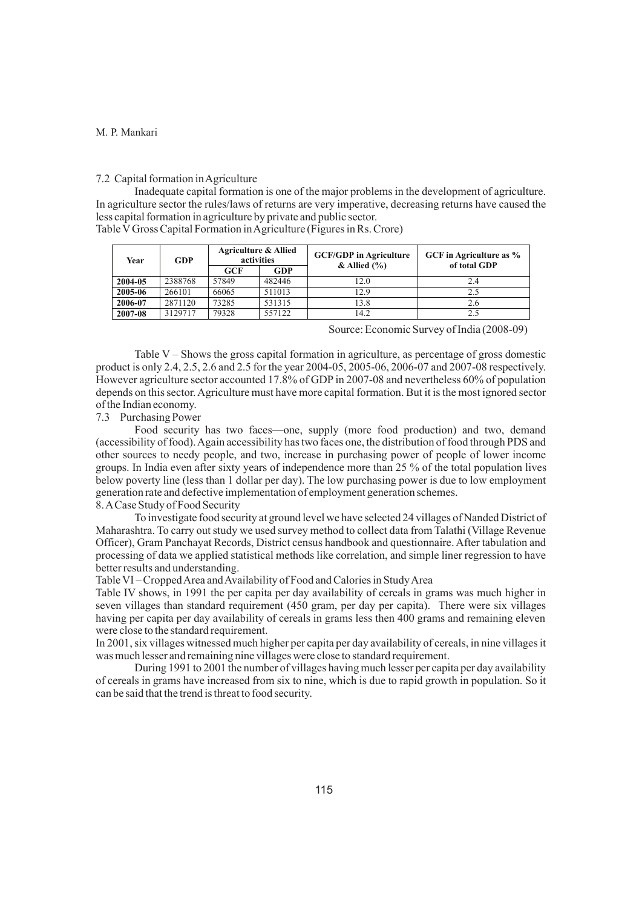# 7.2 Capital formation in Agriculture

Inadequate capital formation is one of the major problems in the development of agriculture. In agriculture sector the rules/laws of returns are very imperative, decreasing returns have caused the less capital formation in agriculture by private and public sector.

Table VGross Capital Formation in Agriculture (Figures in Rs. Crore)

| Year    | <b>GDP</b> |       | <b>Agriculture &amp; Allied</b><br>activities | <b>GCF/GDP</b> in Agriculture<br>$&$ Allied $(\% )$ | GCF in Agriculture as %<br>of total GDP |  |  |
|---------|------------|-------|-----------------------------------------------|-----------------------------------------------------|-----------------------------------------|--|--|
|         |            | GCF   | GDP                                           |                                                     |                                         |  |  |
| 2004-05 | 2388768    | 57849 | 482446                                        | 12.0                                                | 2.4                                     |  |  |
| 2005-06 | 266101     | 66065 | 511013                                        | 12.9                                                | 2.5                                     |  |  |
| 2006-07 | 2871120    | 73285 | 531315                                        | 13.8                                                | 2.6                                     |  |  |
| 2007-08 | 3129717    | 79328 | 557122                                        | 14.2                                                | 2.5                                     |  |  |

Source: Economic Survey of India (2008-09)

Table V – Shows the gross capital formation in agriculture, as percentage of gross domestic product is only 2.4, 2.5, 2.6 and 2.5 for the year 2004-05, 2005-06, 2006-07 and 2007-08 respectively. However agriculture sector accounted 17.8% of GDP in 2007-08 and nevertheless 60% of population depends on this sector. Agriculture must have more capital formation. But it is the most ignored sector of the Indian economy.

## 7.3 Purchasing Power

Food security has two faces—one, supply (more food production) and two, demand (accessibility of food). Again accessibility has two faces one, the distribution of food through PDS and other sources to needy people, and two, increase in purchasing power of people of lower income groups. In India even after sixty years of independence more than 25 % of the total population lives below poverty line (less than 1 dollar per day). The low purchasing power is due to low employment generation rate and defective implementation of employment generation schemes.

# 8. ACase Study of Food Security

To investigate food security at ground level we have selected 24 villages of Nanded District of Maharashtra. To carry out study we used survey method to collect data from Talathi (Village Revenue Officer), Gram Panchayat Records, District census handbook and questionnaire. After tabulation and processing of data we applied statistical methods like correlation, and simple liner regression to have better results and understanding.

### Table VI – Cropped Area and Availability of Food and Calories in Study Area

Table IV shows, in 1991 the per capita per day availability of cereals in grams was much higher in seven villages than standard requirement (450 gram, per day per capita). There were six villages having per capita per day availability of cereals in grams less then 400 grams and remaining eleven were close to the standard requirement.

In 2001, six villages witnessed much higher per capita per day availability of cereals, in nine villages it was much lesser and remaining nine villages were close to standard requirement.

During 1991 to 2001 the number of villages having much lesser per capita per day availability of cereals in grams have increased from six to nine, which is due to rapid growth in population. So it can be said that the trend is threat to food security.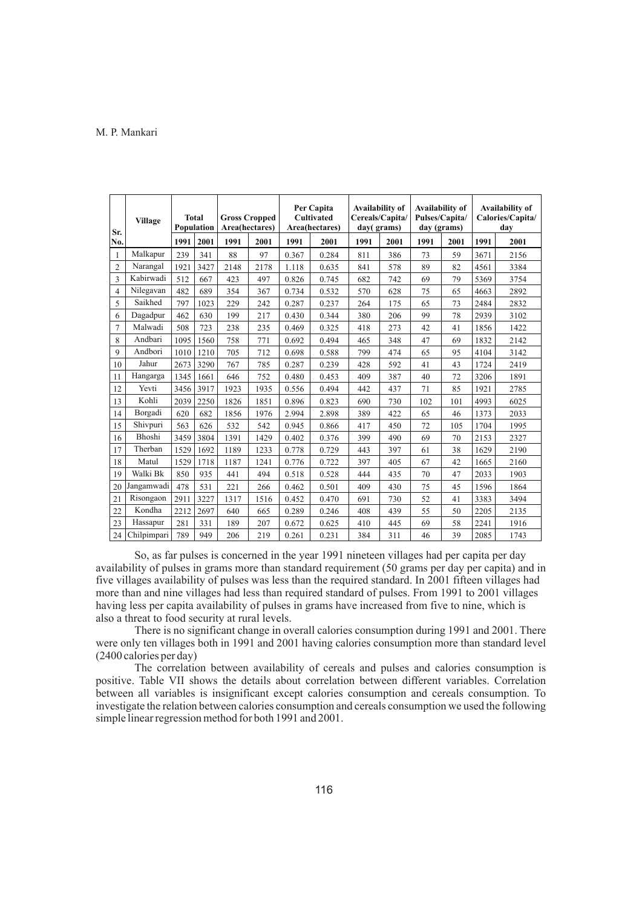| Sr.            | <b>Total</b><br><b>Village</b><br>Population |      |      | <b>Gross Cropped</b><br>Area(hectares) |      | Per Capita<br><b>Cultivated</b><br>Area(hectares) |       | Availability of<br>Cereals/Capita/<br>day(grams) |      | Availability of<br>Pulses/Capita/<br>day (grams) |      | Availability of<br>Calories/Capita/<br>dav |      |
|----------------|----------------------------------------------|------|------|----------------------------------------|------|---------------------------------------------------|-------|--------------------------------------------------|------|--------------------------------------------------|------|--------------------------------------------|------|
| No.            |                                              | 1991 | 2001 | 1991                                   | 2001 | 1991                                              | 2001  | 1991                                             | 2001 | 1991                                             | 2001 | 1991                                       | 2001 |
| 1              | Malkapur                                     | 239  | 341  | 88                                     | 97   | 0.367                                             | 0.284 | 811                                              | 386  | 73                                               | 59   | 3671                                       | 2156 |
| $\overline{2}$ | Narangal                                     | 1921 | 3427 | 2148                                   | 2178 | 1.118                                             | 0.635 | 841                                              | 578  | 89                                               | 82   | 4561                                       | 3384 |
| 3              | Kabirwadi                                    | 512  | 667  | 423                                    | 497  | 0.826                                             | 0.745 | 682                                              | 742  | 69                                               | 79   | 5369                                       | 3754 |
| 4              | Nilegavan                                    | 482  | 689  | 354                                    | 367  | 0.734                                             | 0.532 | 570                                              | 628  | 75                                               | 65   | 4663                                       | 2892 |
| 5              | Saikhed                                      | 797  | 1023 | 229                                    | 242  | 0.287                                             | 0.237 | 264                                              | 175  | 65                                               | 73   | 2484                                       | 2832 |
| 6              | Dagadpur                                     | 462  | 630  | 199                                    | 217  | 0.430                                             | 0.344 | 380                                              | 206  | 99                                               | 78   | 2939                                       | 3102 |
| 7              | Malwadi                                      | 508  | 723  | 238                                    | 235  | 0.469                                             | 0.325 | 418                                              | 273  | 42                                               | 41   | 1856                                       | 1422 |
| 8              | Andbari                                      | 1095 | 1560 | 758                                    | 771  | 0.692                                             | 0.494 | 465                                              | 348  | 47                                               | 69   | 1832                                       | 2142 |
| 9              | Andbori                                      | 1010 | 1210 | 705                                    | 712  | 0.698                                             | 0.588 | 799                                              | 474  | 65                                               | 95   | 4104                                       | 3142 |
| 10             | Jahur                                        | 2673 | 3290 | 767                                    | 785  | 0.287                                             | 0.239 | 428                                              | 592  | 41                                               | 43   | 1724                                       | 2419 |
| 11             | Hangarga                                     | 1345 | 1661 | 646                                    | 752  | 0.480                                             | 0.453 | 409                                              | 387  | 40                                               | 72   | 3206                                       | 1891 |
| 12             | Yevti                                        | 3456 | 3917 | 1923                                   | 1935 | 0.556                                             | 0.494 | 442                                              | 437  | 71                                               | 85   | 1921                                       | 2785 |
| 13             | Kohli                                        | 2039 | 2250 | 1826                                   | 1851 | 0.896                                             | 0.823 | 690                                              | 730  | 102                                              | 101  | 4993                                       | 6025 |
| 14             | Borgadi                                      | 620  | 682  | 1856                                   | 1976 | 2.994                                             | 2.898 | 389                                              | 422  | 65                                               | 46   | 1373                                       | 2033 |
| 15             | Shivpuri                                     | 563  | 626  | 532                                    | 542  | 0.945                                             | 0.866 | 417                                              | 450  | 72                                               | 105  | 1704                                       | 1995 |
| 16             | Bhoshi                                       | 3459 | 3804 | 1391                                   | 1429 | 0.402                                             | 0.376 | 399                                              | 490  | 69                                               | 70   | 2153                                       | 2327 |
| 17             | Therban                                      | 1529 | 1692 | 1189                                   | 1233 | 0.778                                             | 0.729 | 443                                              | 397  | 61                                               | 38   | 1629                                       | 2190 |
| 18             | Matul                                        | 1529 | 1718 | 1187                                   | 1241 | 0.776                                             | 0.722 | 397                                              | 405  | 67                                               | 42   | 1665                                       | 2160 |
| 19             | Walki Bk                                     | 850  | 935  | 441                                    | 494  | 0.518                                             | 0.528 | 444                                              | 435  | 70                                               | 47   | 2033                                       | 1903 |
| 20             | Jangamwadi                                   | 478  | 531  | 221                                    | 266  | 0.462                                             | 0.501 | 409                                              | 430  | 75                                               | 45   | 1596                                       | 1864 |
| 21             | Risongaon                                    | 2911 | 3227 | 1317                                   | 1516 | 0.452                                             | 0.470 | 691                                              | 730  | 52                                               | 41   | 3383                                       | 3494 |
| 22             | Kondha                                       | 2212 | 2697 | 640                                    | 665  | 0.289                                             | 0.246 | 408                                              | 439  | 55                                               | 50   | 2205                                       | 2135 |
| 23             | Hassapur                                     | 281  | 331  | 189                                    | 207  | 0.672                                             | 0.625 | 410                                              | 445  | 69                                               | 58   | 2241                                       | 1916 |
| 24             | Chilpimpari                                  | 789  | 949  | 206                                    | 219  | 0.261                                             | 0.231 | 384                                              | 311  | 46                                               | 39   | 2085                                       | 1743 |

So, as far pulses is concerned in the year 1991 nineteen villages had per capita per day availability of pulses in grams more than standard requirement (50 grams per day per capita) and in five villages availability of pulses was less than the required standard. In 2001 fifteen villages had more than and nine villages had less than required standard of pulses. From 1991 to 2001 villages having less per capita availability of pulses in grams have increased from five to nine, which is also a threat to food security at rural levels.

There is no significant change in overall calories consumption during 1991 and 2001. There were only ten villages both in 1991 and 2001 having calories consumption more than standard level (2400 calories per day)

The correlation between availability of cereals and pulses and calories consumption is positive. Table VII shows the details about correlation between different variables. Correlation between all variables is insignificant except calories consumption and cereals consumption. To investigate the relation between calories consumption and cereals consumption we used the following simple linear regression method for both 1991 and 2001.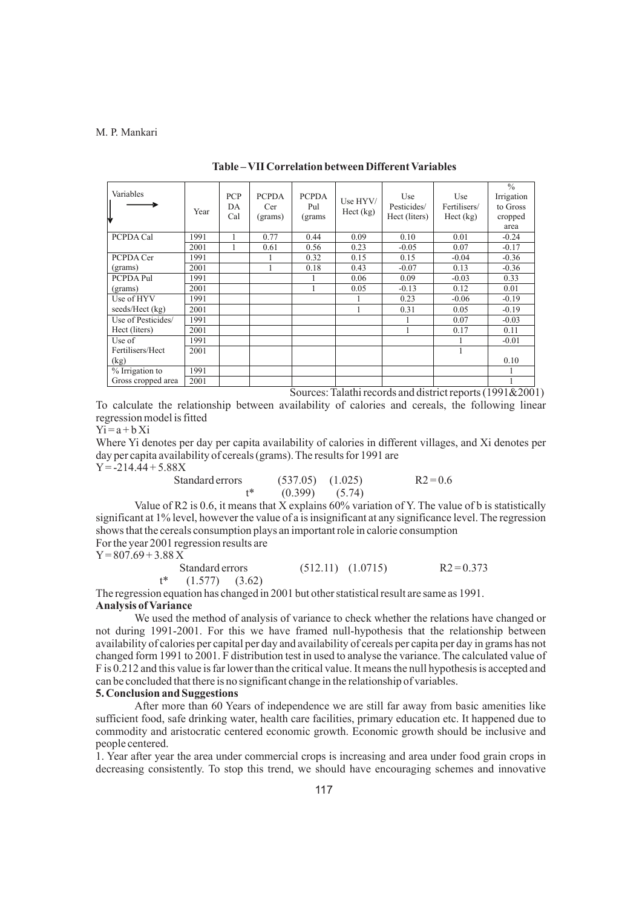| Variables<br>₩     | Year | <b>PCP</b><br>DA<br>Cal | <b>PCPDA</b><br>Cer<br>(grams) | <b>PCPDA</b><br>Pul<br>(grams | Use HYV/<br>$Hect$ (kg) | Use<br>Pesticides/<br>Hect (liters) | Use<br>Fertilisers/<br>Hect (kg) | $\frac{0}{0}$<br>Irrigation<br>to Gross<br>cropped<br>area |
|--------------------|------|-------------------------|--------------------------------|-------------------------------|-------------------------|-------------------------------------|----------------------------------|------------------------------------------------------------|
| PCPDA Cal          | 1991 |                         | 0.77                           | 0.44                          | 0.09                    | 0.10                                | 0.01                             | $-0.24$                                                    |
|                    | 2001 |                         | 0.61                           | 0.56                          | 0.23                    | $-0.05$                             | 0.07                             | $-0.17$                                                    |
| PCPDA Cer          | 1991 |                         |                                | 0.32                          | 0.15                    | 0.15                                | $-0.04$                          | $-0.36$                                                    |
| (grams)            | 2001 |                         |                                | 0.18                          | 0.43                    | $-0.07$                             | 0.13                             | $-0.36$                                                    |
| PCPDA Pul          | 1991 |                         |                                |                               | 0.06                    | 0.09                                | $-0.03$                          | 0.33                                                       |
| (grams)            | 2001 |                         |                                |                               | 0.05                    | $-0.13$                             | 0.12                             | 0.01                                                       |
| Use of HYV         | 1991 |                         |                                |                               |                         | 0.23                                | $-0.06$                          | $-0.19$                                                    |
| seeds/Hect (kg)    | 2001 |                         |                                |                               |                         | 0.31                                | 0.05                             | $-0.19$                                                    |
| Use of Pesticides/ | 1991 |                         |                                |                               |                         |                                     | 0.07                             | $-0.03$                                                    |
| Hect (liters)      | 2001 |                         |                                |                               |                         | 1                                   | 0.17                             | 0.11                                                       |
| Use of             | 1991 |                         |                                |                               |                         |                                     |                                  | $-0.01$                                                    |
| Fertilisers/Hect   | 2001 |                         |                                |                               |                         |                                     | 1                                |                                                            |
| (kg)               |      |                         |                                |                               |                         |                                     |                                  | 0.10                                                       |
| % Irrigation to    | 1991 |                         |                                |                               |                         |                                     |                                  |                                                            |
| Gross cropped area | 2001 |                         |                                |                               |                         |                                     |                                  |                                                            |

**Table – VII Correlation between Different Variables**

Sources: Talathi records and district reports (1991&2001)

To calculate the relationship between availability of calories and cereals, the following linear regression model is fitted

 $Y$ i = a + b Xi

Where Yi denotes per day per capita availability of calories in different villages, and Xi denotes per day per capita availability of cereals (grams). The results for 1991 are

 $Y = -214.44 + 5.88X$ 

| Standard errors | $(537.05)$ $(1.025)$ | $R2 = 0.6$ |
|-----------------|----------------------|------------|
| +*              | $(0.399)$ $(5.74)$   |            |

Value of R2 is 0.6, it means that X explains 60% variation of Y. The value of b is statistically significant at 1% level, however the value of a is insignificant at any significance level. The regression shows that the cereals consumption plays an important role in calorie consumption For the year 2001 regression results are

 $Y = 807.69 + 3.88 X$ 

Standard errors (512.11) (1.0715) R2 = 0.373  $t^*$  (1.577) (3.62)

The regression equation has changed in 2001 but other statistical result are same as 1991. **Analysis of Variance** 

We used the method of analysis of variance to check whether the relations have changed or not during 1991-2001. For this we have framed null-hypothesis that the relationship between availability of calories per capital per day and availability of cereals per capita per day in grams has not changed form 1991 to 2001. F distribution test in used to analyse the variance. The calculated value of F is 0.212 and this value is far lower than the critical value. It means the null hypothesis is accepted and can be concluded that there is no significant change in the relationship of variables.

# **5. Conclusion and Suggestions**

After more than 60 Years of independence we are still far away from basic amenities like sufficient food, safe drinking water, health care facilities, primary education etc. It happened due to commodity and aristocratic centered economic growth. Economic growth should be inclusive and people centered.

1. Year after year the area under commercial crops is increasing and area under food grain crops in decreasing consistently. To stop this trend, we should have encouraging schemes and innovative